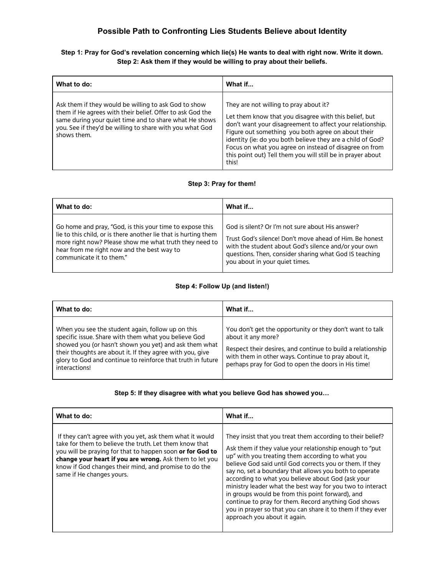# **Possible Path to Confronting Lies Students Believe about Identity**

## **Step 1: Pray for God's revelation concerning which lie(s) He wants to deal with right now. Write it down. Step 2: Ask them if they would be willing to pray about their beliefs.**

| What to do:                                                                                                                                                                                                                                            | What if                                                                                                                                                                                                                                                                                                                                                                                                            |
|--------------------------------------------------------------------------------------------------------------------------------------------------------------------------------------------------------------------------------------------------------|--------------------------------------------------------------------------------------------------------------------------------------------------------------------------------------------------------------------------------------------------------------------------------------------------------------------------------------------------------------------------------------------------------------------|
| Ask them if they would be willing to ask God to show<br>them if He agrees with their belief. Offer to ask God the<br>same during your quiet time and to share what He shows<br>you. See if they'd be willing to share with you what God<br>shows them. | They are not willing to pray about it?<br>Let them know that you disagree with this belief, but<br>don't want your disagreement to affect your relationship.<br>Figure out something you both agree on about their<br>identity (ie: do you both believe they are a child of God?<br>Focus on what you agree on instead of disagree on from<br>this point out) Tell them you will still be in prayer about<br>this! |

## **Step 3: Pray for them!**

| What to do:                                                     | What if                                                 |
|-----------------------------------------------------------------|---------------------------------------------------------|
| Go home and pray, "God, is this your time to expose this        | God is silent? Or I'm not sure about His answer?        |
| lie to this child, or is there another lie that is hurting them | Trust God's silence! Don't move ahead of Him. Be honest |
| more right now? Please show me what truth they need to          | with the student about God's silence and/or your own    |
| hear from me right now and the best way to                      | questions. Then, consider sharing what God IS teaching  |
| communicate it to them."                                        | you about in your quiet times.                          |

#### **Step 4: Follow Up (and listen!)**

| What to do:                                                                                                                                                                                                                                                                                                      | What if                                                                                                                                                                                                                                                     |
|------------------------------------------------------------------------------------------------------------------------------------------------------------------------------------------------------------------------------------------------------------------------------------------------------------------|-------------------------------------------------------------------------------------------------------------------------------------------------------------------------------------------------------------------------------------------------------------|
| When you see the student again, follow up on this<br>specific issue. Share with them what you believe God<br>showed you (or hasn't shown you yet) and ask them what<br>their thoughts are about it. If they agree with you, give<br>glory to God and continue to reinforce that truth in future<br>interactions! | You don't get the opportunity or they don't want to talk<br>about it any more?<br>Respect their desires, and continue to build a relationship<br>with them in other ways. Continue to pray about it,<br>perhaps pray for God to open the doors in His time! |

#### **Step 5: If they disagree with what you believe God has showed you…**

| What to do:                                                                                                                                                                                                                                                                                                                      | What if                                                                                                                                                                                                                                                                                                                                                                                                                                                                                                                                                                                                                       |
|----------------------------------------------------------------------------------------------------------------------------------------------------------------------------------------------------------------------------------------------------------------------------------------------------------------------------------|-------------------------------------------------------------------------------------------------------------------------------------------------------------------------------------------------------------------------------------------------------------------------------------------------------------------------------------------------------------------------------------------------------------------------------------------------------------------------------------------------------------------------------------------------------------------------------------------------------------------------------|
| If they can't agree with you yet, ask them what it would<br>take for them to believe the truth. Let them know that<br>you will be praying for that to happen soon or for God to<br>change your heart if you are wrong. Ask them to let you<br>know if God changes their mind, and promise to do the<br>same if He changes yours. | They insist that you treat them according to their belief?<br>Ask them if they value your relationship enough to "put"<br>up" with you treating them according to what you<br>believe God said until God corrects you or them. If they<br>say no, set a boundary that allows you both to operate<br>according to what you believe about God (ask your<br>ministry leader what the best way for you two to interact<br>in groups would be from this point forward), and<br>continue to pray for them. Record anything God shows<br>you in prayer so that you can share it to them if they ever<br>approach you about it again. |